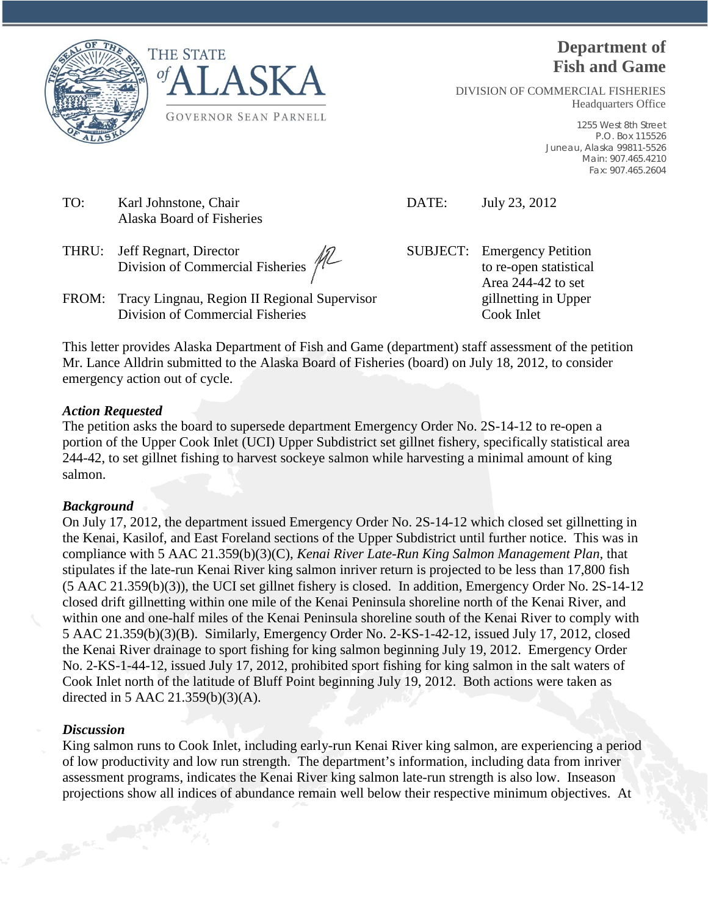



# **Department of Fish and Game**

DIVISION OF COMMERCIAL FISHERIES Headquarters Office

> 1255 West 8th Street P.O. Box 115526 Juneau, Alaska 99811-5526 Main: 907.465.4210 Fax: 907.465.2604

- TO: Karl Johnstone, Chair DATE: July 23, 2012 Alaska Board of Fisheries
- THRU: Jeff Regnart, Director  $\sqrt{2}$  SUBJECT: Emergency Petition Division of Commercial Fisheries  $\sqrt{ }$
- FROM: Tracy Lingnau, Region II Regional Supervisor gillnetting in Upper

Division of Commercial Fisheries Cook Inlet

Area 244-42 to set

This letter provides Alaska Department of Fish and Game (department) staff assessment of the petition Mr. Lance Alldrin submitted to the Alaska Board of Fisheries (board) on July 18, 2012, to consider emergency action out of cycle.

## *Action Requested*

The petition asks the board to supersede department Emergency Order No. 2S-14-12 to re-open a portion of the Upper Cook Inlet (UCI) Upper Subdistrict set gillnet fishery, specifically statistical area 244-42, to set gillnet fishing to harvest sockeye salmon while harvesting a minimal amount of king salmon.

### *Background*

On July 17, 2012, the department issued Emergency Order No. 2S-14-12 which closed set gillnetting in the Kenai, Kasilof, and East Foreland sections of the Upper Subdistrict until further notice. This was in compliance with 5 AAC 21.359(b)(3)(C), *Kenai River Late-Run King Salmon Management Plan,* that stipulates if the late-run Kenai River king salmon inriver return is projected to be less than 17,800 fish (5 AAC 21.359(b)(3)), the UCI set gillnet fishery is closed. In addition, Emergency Order No. 2S-14-12 closed drift gillnetting within one mile of the Kenai Peninsula shoreline north of the Kenai River, and within one and one-half miles of the Kenai Peninsula shoreline south of the Kenai River to comply with 5 AAC 21.359(b)(3)(B). Similarly, Emergency Order No. 2-KS-1-42-12, issued July 17, 2012, closed the Kenai River drainage to sport fishing for king salmon beginning July 19, 2012. Emergency Order No. 2-KS-1-44-12, issued July 17, 2012, prohibited sport fishing for king salmon in the salt waters of Cook Inlet north of the latitude of Bluff Point beginning July 19, 2012. Both actions were taken as directed in 5 AAC 21.359(b)(3)(A).

### *Discussion*

King salmon runs to Cook Inlet, including early-run Kenai River king salmon, are experiencing a period of low productivity and low run strength. The department's information, including data from inriver assessment programs, indicates the Kenai River king salmon late-run strength is also low. Inseason projections show all indices of abundance remain well below their respective minimum objectives. At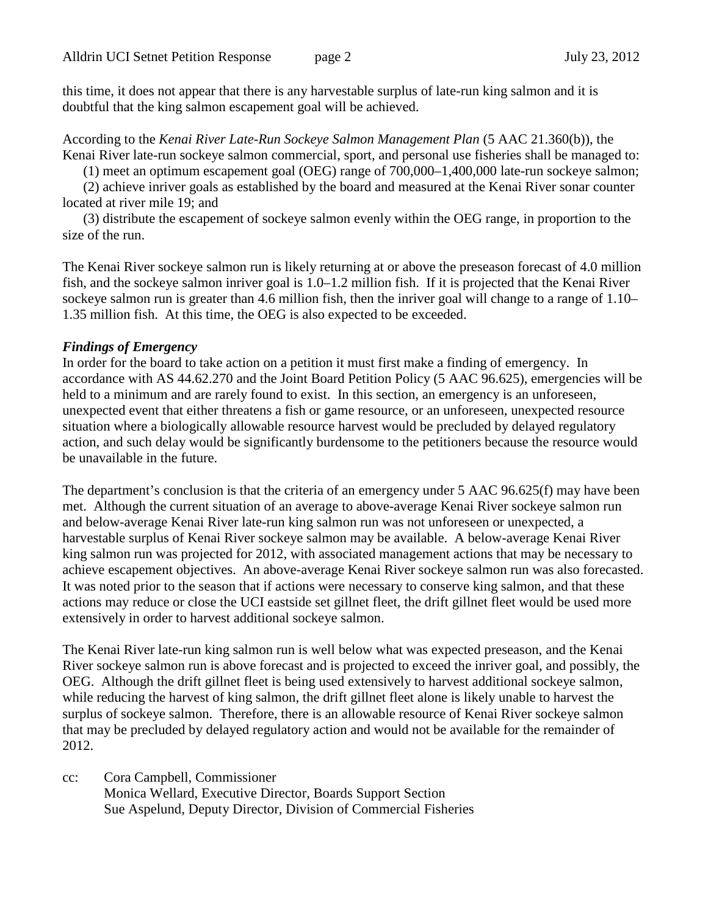this time, it does not appear that there is any harvestable surplus of late-run king salmon and it is doubtful that the king salmon escapement goal will be achieved.

According to the *Kenai River Late-Run Sockeye Salmon Management Plan* (5 AAC 21.360(b)), the Kenai River late-run sockeye salmon commercial, sport, and personal use fisheries shall be managed to:

(1) meet an optimum escapement goal (OEG) range of 700,000–1,400,000 late-run sockeye salmon;

(2) achieve inriver goals as established by the board and measured at the Kenai River sonar counter located at river mile 19; and

(3) distribute the escapement of sockeye salmon evenly within the OEG range, in proportion to the size of the run.

The Kenai River sockeye salmon run is likely returning at or above the preseason forecast of 4.0 million fish, and the sockeye salmon inriver goal is 1.0–1.2 million fish. If it is projected that the Kenai River sockeye salmon run is greater than 4.6 million fish, then the inriver goal will change to a range of 1.10– 1.35 million fish. At this time, the OEG is also expected to be exceeded.

#### *Findings of Emergency*

In order for the board to take action on a petition it must first make a finding of emergency. In accordance with AS 44.62.270 and the Joint Board Petition Policy (5 AAC 96.625), emergencies will be held to a minimum and are rarely found to exist. In this section, an emergency is an unforeseen, unexpected event that either threatens a fish or game resource, or an unforeseen, unexpected resource situation where a biologically allowable resource harvest would be precluded by delayed regulatory action, and such delay would be significantly burdensome to the petitioners because the resource would be unavailable in the future.

The department's conclusion is that the criteria of an emergency under 5 AAC 96.625(f) may have been met. Although the current situation of an average to above-average Kenai River sockeye salmon run and below-average Kenai River late-run king salmon run was not unforeseen or unexpected, a harvestable surplus of Kenai River sockeye salmon may be available. A below-average Kenai River king salmon run was projected for 2012, with associated management actions that may be necessary to achieve escapement objectives. An above-average Kenai River sockeye salmon run was also forecasted. It was noted prior to the season that if actions were necessary to conserve king salmon, and that these actions may reduce or close the UCI eastside set gillnet fleet, the drift gillnet fleet would be used more extensively in order to harvest additional sockeye salmon.

The Kenai River late-run king salmon run is well below what was expected preseason, and the Kenai River sockeye salmon run is above forecast and is projected to exceed the inriver goal, and possibly, the OEG. Although the drift gillnet fleet is being used extensively to harvest additional sockeye salmon, while reducing the harvest of king salmon, the drift gillnet fleet alone is likely unable to harvest the surplus of sockeye salmon. Therefore, there is an allowable resource of Kenai River sockeye salmon that may be precluded by delayed regulatory action and would not be available for the remainder of 2012.

cc: Cora Campbell, Commissioner Monica Wellard, Executive Director, Boards Support Section Sue Aspelund, Deputy Director, Division of Commercial Fisheries